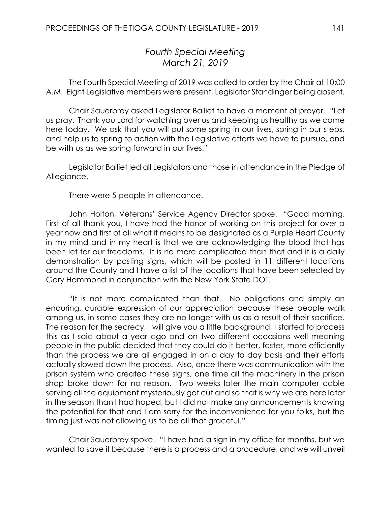## *Fourth Special Meeting March 21, 2019*

The Fourth Special Meeting of 2019 was called to order by the Chair at 10:00 A.M. Eight Legislative members were present, Legislator Standinger being absent.

Chair Sauerbrey asked Legislator Balliet to have a moment of prayer. "Let us pray. Thank you Lord for watching over us and keeping us healthy as we come here today. We ask that you will put some spring in our lives, spring in our steps, and help us to spring to action with the Legislative efforts we have to pursue, and be with us as we spring forward in our lives."

Legislator Balliet led all Legislators and those in attendance in the Pledge of Allegiance.

There were 5 people in attendance.

John Holton, Veterans' Service Agency Director spoke. "Good morning. First of all thank you, I have had the honor of working on this project for over a year now and first of all what it means to be designated as a Purple Heart County in my mind and in my heart is that we are acknowledging the blood that has been let for our freedoms. It is no more complicated than that and it is a daily demonstration by posting signs, which will be posted in 11 different locations around the County and I have a list of the locations that have been selected by Gary Hammond in conjunction with the New York State DOT.

"It is not more complicated than that. No obligations and simply an enduring, durable expression of our appreciation because these people walk among us, in some cases they are no longer with us as a result of their sacrifice. The reason for the secrecy, I will give you a little background, I started to process this as I said about a year ago and on two different occasions well meaning people in the public decided that they could do it better, faster, more efficiently than the process we are all engaged in on a day to day basis and their efforts actually slowed down the process. Also, once there was communication with the prison system who created these signs, one time all the machinery in the prison shop broke down for no reason. Two weeks later the main computer cable serving all the equipment mysteriously got cut and so that is why we are here later in the season than I had hoped, but I did not make any announcements knowing the potential for that and I am sorry for the inconvenience for you folks, but the timing just was not allowing us to be all that graceful."

Chair Sauerbrey spoke. "I have had a sign in my office for months, but we wanted to save it because there is a process and a procedure, and we will unveil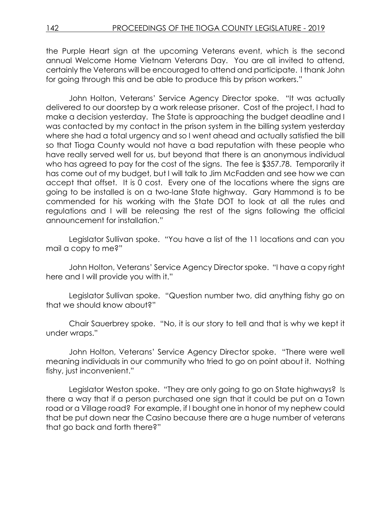the Purple Heart sign at the upcoming Veterans event, which is the second annual Welcome Home Vietnam Veterans Day. You are all invited to attend, certainly the Veterans will be encouraged to attend and participate. I thank John for going through this and be able to produce this by prison workers."

John Holton, Veterans' Service Agency Director spoke. "It was actually delivered to our doorstep by a work release prisoner. Cost of the project, I had to make a decision yesterday. The State is approaching the budget deadline and I was contacted by my contact in the prison system in the billing system yesterday where she had a total urgency and so I went ahead and actually satisfied the bill so that Tioga County would not have a bad reputation with these people who have really served well for us, but beyond that there is an anonymous individual who has agreed to pay for the cost of the signs. The fee is \$357.78. Temporarily it has come out of my budget, but I will talk to Jim McFadden and see how we can accept that offset. It is 0 cost. Every one of the locations where the signs are going to be installed is on a two-lane State highway. Gary Hammond is to be commended for his working with the State DOT to look at all the rules and regulations and I will be releasing the rest of the signs following the official announcement for installation."

Legislator Sullivan spoke. "You have a list of the 11 locations and can you mail a copy to me?"

John Holton, Veterans' Service Agency Director spoke. "I have a copy right here and I will provide you with it."

Legislator Sullivan spoke. "Question number two, did anything fishy go on that we should know about?"

Chair Sauerbrey spoke. "No, it is our story to tell and that is why we kept it under wraps."

John Holton, Veterans' Service Agency Director spoke. "There were well meaning individuals in our community who tried to go on point about it. Nothing fishy, just inconvenient."

Legislator Weston spoke. "They are only going to go on State highways? Is there a way that if a person purchased one sign that it could be put on a Town road or a Village road? For example, if I bought one in honor of my nephew could that be put down near the Casino because there are a huge number of veterans that go back and forth there?"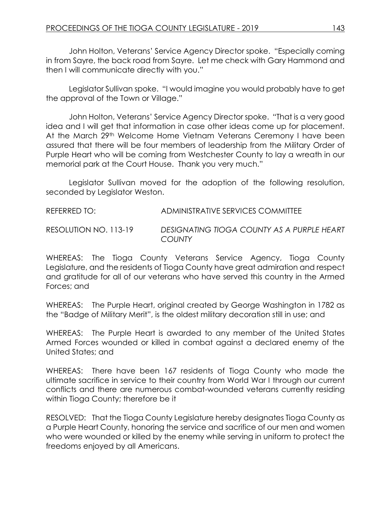John Holton, Veterans' Service Agency Director spoke. "Especially coming in from Sayre, the back road from Sayre. Let me check with Gary Hammond and then I will communicate directly with you."

Legislator Sullivan spoke. "I would imagine you would probably have to get the approval of the Town or Village."

John Holton, Veterans' Service Agency Director spoke. "That is a very good idea and I will get that information in case other ideas come up for placement. At the March 29<sup>th</sup> Welcome Home Vietnam Veterans Ceremony I have been assured that there will be four members of leadership from the Military Order of Purple Heart who will be coming from Westchester County to lay a wreath in our memorial park at the Court House. Thank you very much."

Legislator Sullivan moved for the adoption of the following resolution, seconded by Legislator Weston.

REFERRED TO: ADMINISTRATIVE SERVICES COMMITTEE RESOLUTION NO. 113-19 *DESIGNATING TIOGA COUNTY AS A PURPLE HEART COUNTY*

WHEREAS: The Tioga County Veterans Service Agency, Tioga County Legislature, and the residents of Tioga County have great admiration and respect and gratitude for all of our veterans who have served this country in the Armed Forces; and

WHEREAS: The Purple Heart, original created by George Washington in 1782 as the "Badge of Military Merit", is the oldest military decoration still in use; and

WHEREAS: The Purple Heart is awarded to any member of the United States Armed Forces wounded or killed in combat against a declared enemy of the United States; and

WHEREAS: There have been 167 residents of Tioga County who made the ultimate sacrifice in service to their country from World War I through our current conflicts and there are numerous combat-wounded veterans currently residing within Tioga County; therefore be it

RESOLVED: That the Tioga County Legislature hereby designates Tioga County as a Purple Heart County, honoring the service and sacrifice of our men and women who were wounded or killed by the enemy while serving in uniform to protect the freedoms enjoyed by all Americans.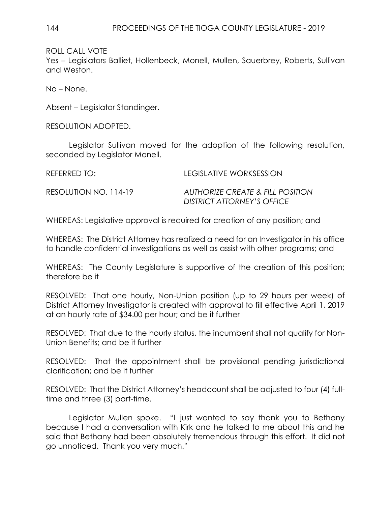ROLL CALL VOTE

Yes – Legislators Balliet, Hollenbeck, Monell, Mullen, Sauerbrey, Roberts, Sullivan and Weston.

No – None.

Absent – Legislator Standinger.

RESOLUTION ADOPTED.

Legislator Sullivan moved for the adoption of the following resolution, seconded by Legislator Monell.

| REFERRED TO:          | LEGISLATIVE WORKSESSION                                                          |
|-----------------------|----------------------------------------------------------------------------------|
| RESOLUTION NO. 114-19 | <b>AUTHORIZE CREATE &amp; FILL POSITION</b><br><b>DISTRICT ATTORNEY'S OFFICE</b> |

WHEREAS: Legislative approval is required for creation of any position; and

WHEREAS: The District Attorney has realized a need for an Investigator in his office to handle confidential investigations as well as assist with other programs; and

WHEREAS: The County Legislature is supportive of the creation of this position; therefore be it

RESOLVED: That one hourly, Non-Union position (up to 29 hours per week) of District Attorney Investigator is created with approval to fill effective April 1, 2019 at an hourly rate of \$34.00 per hour; and be it further

RESOLVED: That due to the hourly status, the incumbent shall not qualify for Non-Union Benefits; and be it further

RESOLVED: That the appointment shall be provisional pending jurisdictional clarification; and be it further

RESOLVED: That the District Attorney's headcount shall be adjusted to four (4) fulltime and three (3) part-time.

Legislator Mullen spoke. "I just wanted to say thank you to Bethany because I had a conversation with Kirk and he talked to me about this and he said that Bethany had been absolutely tremendous through this effort. It did not go unnoticed. Thank you very much."